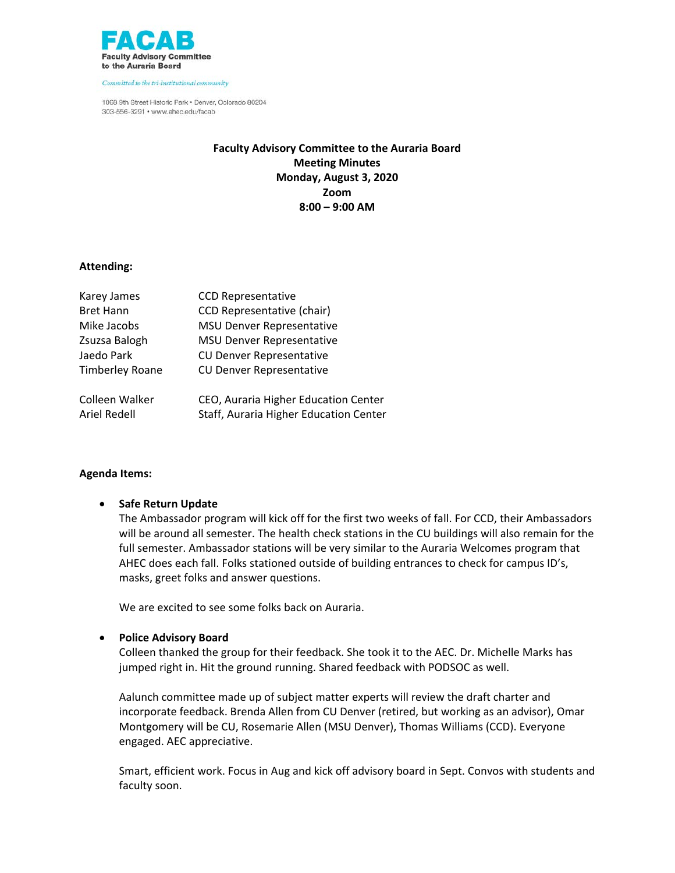

Committed to the tri-institutional community

1068 9th Street Historic Park . Denver, Colorado 80204 303-556-3291 · www.ahec.edu/facab

# **Faculty Advisory Committee to the Auraria Board Meeting Minutes Monday, August 3, 2020 Zoom 8:00 – 9:00 AM**

## **Attending:**

| Karey James            | <b>CCD Representative</b>              |
|------------------------|----------------------------------------|
| <b>Bret Hann</b>       | CCD Representative (chair)             |
| Mike Jacobs            | <b>MSU Denver Representative</b>       |
| Zsuzsa Balogh          | <b>MSU Denver Representative</b>       |
| Jaedo Park             | <b>CU Denver Representative</b>        |
| <b>Timberley Roane</b> | <b>CU Denver Representative</b>        |
| Colleen Walker         | CEO, Auraria Higher Education Center   |
| <b>Ariel Redell</b>    | Staff, Auraria Higher Education Center |

## **Agenda Items:**

## • **Safe Return Update**

The Ambassador program will kick off for the first two weeks of fall. For CCD, their Ambassadors will be around all semester. The health check stations in the CU buildings will also remain for the full semester. Ambassador stations will be very similar to the Auraria Welcomes program that AHEC does each fall. Folks stationed outside of building entrances to check for campus ID's, masks, greet folks and answer questions.

We are excited to see some folks back on Auraria.

### • **Police Advisory Board**

Colleen thanked the group for their feedback. She took it to the AEC. Dr. Michelle Marks has jumped right in. Hit the ground running. Shared feedback with PODSOC as well.

Aalunch committee made up of subject matter experts will review the draft charter and incorporate feedback. Brenda Allen from CU Denver (retired, but working as an advisor), Omar Montgomery will be CU, Rosemarie Allen (MSU Denver), Thomas Williams (CCD). Everyone engaged. AEC appreciative.

Smart, efficient work. Focus in Aug and kick off advisory board in Sept. Convos with students and faculty soon.